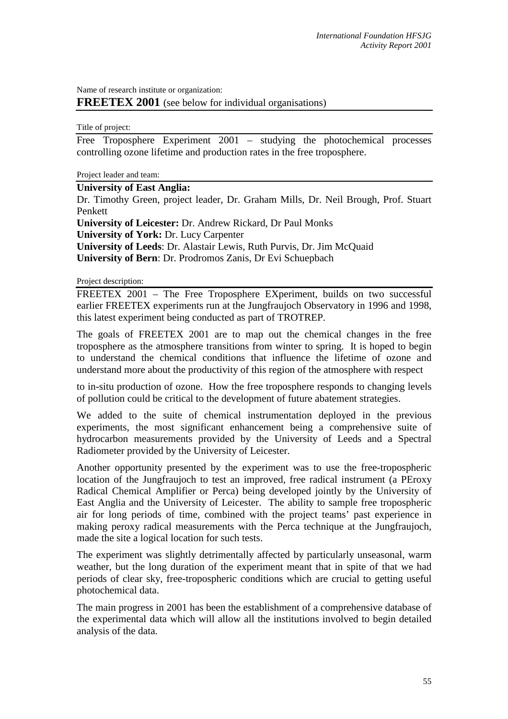Name of research institute or organization:

**FREETEX 2001** (see below for individual organisations)

Title of project:

Free Troposphere Experiment 2001 – studying the photochemical processes controlling ozone lifetime and production rates in the free troposphere.

Project leader and team:

## **University of East Anglia:**

Dr. Timothy Green, project leader, Dr. Graham Mills, Dr. Neil Brough, Prof. Stuart Penkett

**University of Leicester:** Dr. Andrew Rickard, Dr Paul Monks

**University of York:** Dr. Lucy Carpenter

**University of Leeds**: Dr. Alastair Lewis, Ruth Purvis, Dr. Jim McQuaid

**University of Bern**: Dr. Prodromos Zanis, Dr Evi Schuepbach

Project description:

FREETEX 2001 – The Free Troposphere EXperiment, builds on two successful earlier FREETEX experiments run at the Jungfraujoch Observatory in 1996 and 1998, this latest experiment being conducted as part of TROTREP.

The goals of FREETEX 2001 are to map out the chemical changes in the free troposphere as the atmosphere transitions from winter to spring. It is hoped to begin to understand the chemical conditions that influence the lifetime of ozone and understand more about the productivity of this region of the atmosphere with respect

to in-situ production of ozone. How the free troposphere responds to changing levels of pollution could be critical to the development of future abatement strategies.

We added to the suite of chemical instrumentation deployed in the previous experiments, the most significant enhancement being a comprehensive suite of hydrocarbon measurements provided by the University of Leeds and a Spectral Radiometer provided by the University of Leicester.

Another opportunity presented by the experiment was to use the free-tropospheric location of the Jungfraujoch to test an improved, free radical instrument (a PEroxy Radical Chemical Amplifier or Perca) being developed jointly by the University of East Anglia and the University of Leicester. The ability to sample free tropospheric air for long periods of time, combined with the project teams' past experience in making peroxy radical measurements with the Perca technique at the Jungfraujoch, made the site a logical location for such tests.

The experiment was slightly detrimentally affected by particularly unseasonal, warm weather, but the long duration of the experiment meant that in spite of that we had periods of clear sky, free-tropospheric conditions which are crucial to getting useful photochemical data.

The main progress in 2001 has been the establishment of a comprehensive database of the experimental data which will allow all the institutions involved to begin detailed analysis of the data.